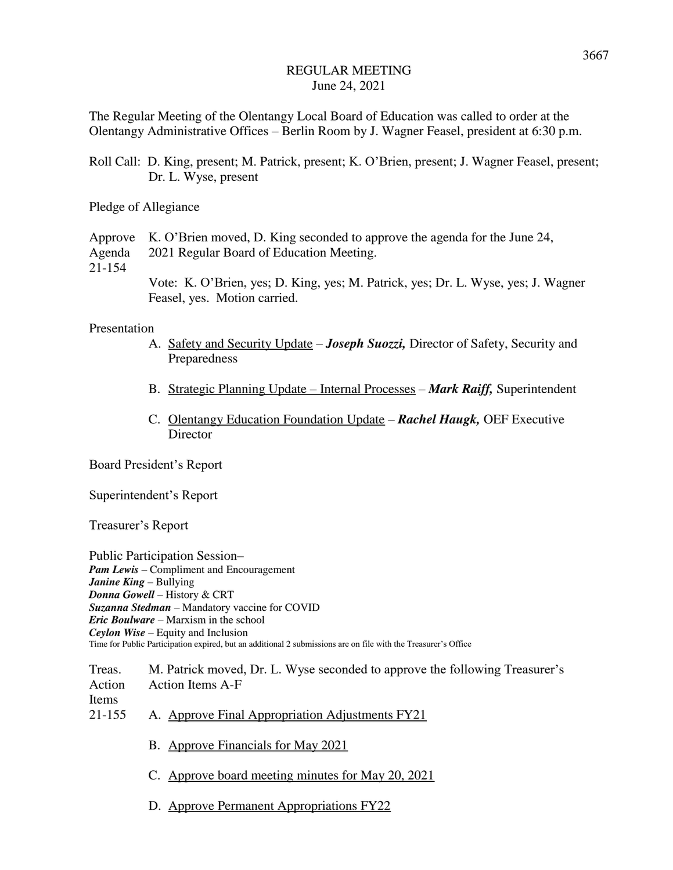The Regular Meeting of the Olentangy Local Board of Education was called to order at the Olentangy Administrative Offices – Berlin Room by J. Wagner Feasel, president at 6:30 p.m.

Roll Call: D. King, present; M. Patrick, present; K. O'Brien, present; J. Wagner Feasel, present; Dr. L. Wyse, present

Pledge of Allegiance

Approve K. O'Brien moved, D. King seconded to approve the agenda for the June 24,

Agenda 2021 Regular Board of Education Meeting.

21-154

Vote: K. O'Brien, yes; D. King, yes; M. Patrick, yes; Dr. L. Wyse, yes; J. Wagner Feasel, yes. Motion carried.

### Presentation

- A. Safety and Security Update *Joseph Suozzi,* Director of Safety, Security and Preparedness
- B. Strategic Planning Update Internal Processes *Mark Raiff,* Superintendent
- C. Olentangy Education Foundation Update *Rachel Haugk,* OEF Executive **Director**

Board President's Report

Superintendent's Report

Treasurer's Report

Public Participation Session– *Pam Lewis* – Compliment and Encouragement *Janine King* – Bullying *Donna Gowell* – History & CRT *Suzanna Stedman* – Mandatory vaccine for COVID *Eric Boulware* – Marxism in the school *Ceylon Wise* – Equity and Inclusion Time for Public Participation expired, but an additional 2 submissions are on file with the Treasurer's Office

Treas. M. Patrick moved, Dr. L. Wyse seconded to approve the following Treasurer's Action Action Items A-F Items 21-155 A. Approve Final Appropriation Adjustments FY21

B. Approve Financials for May 2021

- C. Approve board meeting minutes for May 20, 2021
- D. Approve Permanent Appropriations FY22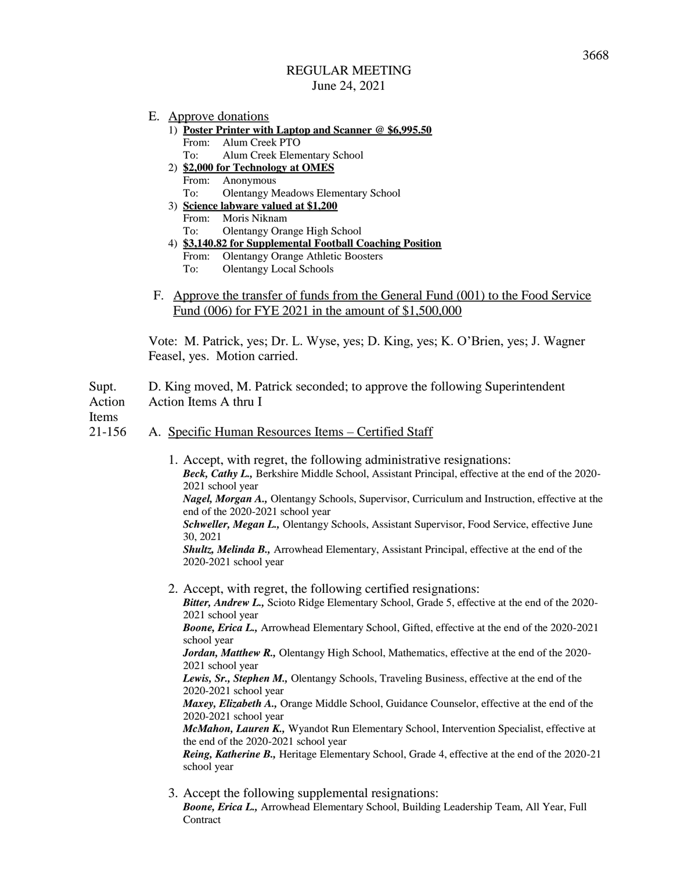- E. Approve donations
	- 1) **Poster Printer with Laptop and Scanner @ \$6,995.50** From: Alum Creek PTO To: Alum Creek Elementary School
	- 2) **\$2,000 for Technology at OMES** From: Anonymous
		- To: Olentangy Meadows Elementary School
	- 3) **Science labware valued at \$1,200** From: Moris Niknam To: Olentangy Orange High School
	- 4) **\$3,140.82 for Supplemental Football Coaching Position** From: Olentangy Orange Athletic Boosters To: Olentangy Local Schools
- F. Approve the transfer of funds from the General Fund (001) to the Food Service Fund (006) for FYE 2021 in the amount of \$1,500,000

Vote: M. Patrick, yes; Dr. L. Wyse, yes; D. King, yes; K. O'Brien, yes; J. Wagner Feasel, yes. Motion carried.

Supt. D. King moved, M. Patrick seconded; to approve the following Superintendent Action Action Items A thru I

Items

# 21-156 A. Specific Human Resources Items – Certified Staff

- 1. Accept, with regret, the following administrative resignations: *Beck, Cathy L.,* Berkshire Middle School, Assistant Principal, effective at the end of the 2020- 2021 school year *Nagel, Morgan A.,* Olentangy Schools, Supervisor, Curriculum and Instruction, effective at the end of the 2020-2021 school year *Schweller, Megan L.,* Olentangy Schools, Assistant Supervisor, Food Service, effective June 30, 2021 *Shultz, Melinda B.,* Arrowhead Elementary, Assistant Principal, effective at the end of the 2020-2021 school year 2. Accept, with regret, the following certified resignations: *Bitter, Andrew L.,* Scioto Ridge Elementary School, Grade 5, effective at the end of the 2020- 2021 school year *Boone, Erica L.,* Arrowhead Elementary School, Gifted, effective at the end of the 2020-2021 school year *Jordan, Matthew R.,* Olentangy High School, Mathematics, effective at the end of the 2020- 2021 school year *Lewis, Sr., Stephen M.,* Olentangy Schools, Traveling Business, effective at the end of the 2020-2021 school year *Maxey, Elizabeth A.,* Orange Middle School, Guidance Counselor, effective at the end of the 2020-2021 school year *McMahon, Lauren K.,* Wyandot Run Elementary School, Intervention Specialist, effective at the end of the 2020-2021 school year *Reing, Katherine B.,* Heritage Elementary School, Grade 4, effective at the end of the 2020-21 school year
- 3. Accept the following supplemental resignations: *Boone, Erica L.,* Arrowhead Elementary School, Building Leadership Team, All Year, Full **Contract**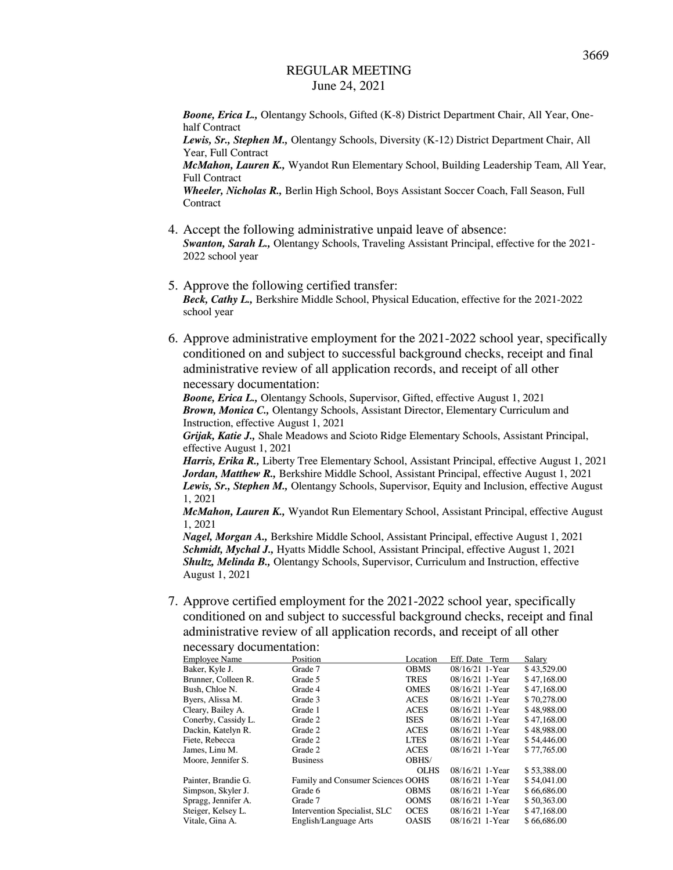*Boone, Erica L.,* Olentangy Schools, Gifted (K-8) District Department Chair, All Year, Onehalf Contract

*Lewis, Sr., Stephen M.,* Olentangy Schools, Diversity (K-12) District Department Chair, All Year, Full Contract

*McMahon, Lauren K.,* Wyandot Run Elementary School, Building Leadership Team, All Year, Full Contract

*Wheeler, Nicholas R.,* Berlin High School, Boys Assistant Soccer Coach, Fall Season, Full **Contract** 

- 4. Accept the following administrative unpaid leave of absence: *Swanton, Sarah L.,* Olentangy Schools, Traveling Assistant Principal, effective for the 2021- 2022 school year
- 5. Approve the following certified transfer: *Beck, Cathy L.,* Berkshire Middle School, Physical Education, effective for the 2021-2022 school year
- 6. Approve administrative employment for the 2021-2022 school year, specifically conditioned on and subject to successful background checks, receipt and final administrative review of all application records, and receipt of all other necessary documentation:

*Boone, Erica L.,* Olentangy Schools, Supervisor, Gifted, effective August 1, 2021 *Brown, Monica C.,* Olentangy Schools, Assistant Director, Elementary Curriculum and Instruction, effective August 1, 2021

*Grijak, Katie J.,* Shale Meadows and Scioto Ridge Elementary Schools, Assistant Principal, effective August 1, 2021

*Harris, Erika R.,* Liberty Tree Elementary School, Assistant Principal, effective August 1, 2021 *Jordan, Matthew R.,* Berkshire Middle School, Assistant Principal, effective August 1, 2021 *Lewis, Sr., Stephen M.,* Olentangy Schools, Supervisor, Equity and Inclusion, effective August 1, 2021

*McMahon, Lauren K.,* Wyandot Run Elementary School, Assistant Principal, effective August 1, 2021

*Nagel, Morgan A.,* Berkshire Middle School, Assistant Principal, effective August 1, 2021 *Schmidt, Mychal J.,* Hyatts Middle School, Assistant Principal, effective August 1, 2021 *Shultz, Melinda B.,* Olentangy Schools, Supervisor, Curriculum and Instruction, effective August 1, 2021

7. Approve certified employment for the 2021-2022 school year, specifically conditioned on and subject to successful background checks, receipt and final administrative review of all application records, and receipt of all other necessary documentation:

| <b>Employee Name</b> | Position                          | Location     | Eff. Date<br>Term | Salary      |
|----------------------|-----------------------------------|--------------|-------------------|-------------|
| Baker, Kyle J.       | Grade 7                           | <b>OBMS</b>  | 08/16/21 1-Year   | \$43,529.00 |
| Brunner, Colleen R.  | Grade 5                           | <b>TRES</b>  | 08/16/21 1-Year   | \$47,168,00 |
| Bush, Chloe N.       | Grade 4                           | <b>OMES</b>  | 08/16/21 1-Year   | \$47,168.00 |
| Byers, Alissa M.     | Grade 3                           | <b>ACES</b>  | 08/16/21 1-Year   | \$70,278.00 |
| Cleary, Bailey A.    | Grade 1                           | <b>ACES</b>  | 08/16/21 1-Year   | \$48,988.00 |
| Conerby, Cassidy L.  | Grade 2                           | <b>ISES</b>  | 08/16/21 1-Year   | \$47,168.00 |
| Dackin, Katelyn R.   | Grade 2                           | <b>ACES</b>  | 08/16/21 1-Year   | \$48,988.00 |
| Fiete, Rebecca       | Grade 2                           | <b>LTES</b>  | 08/16/21 1-Year   | \$54,446.00 |
| James, Linu M.       | Grade 2                           | <b>ACES</b>  | 08/16/21 1-Year   | \$77,765.00 |
| Moore, Jennifer S.   | <b>Business</b>                   | OBHS/        |                   |             |
|                      |                                   | <b>OLHS</b>  | $08/16/21$ 1-Year | \$53,388,00 |
| Painter, Brandie G.  | Family and Consumer Sciences OOHS |              | 08/16/21 1-Year   | \$54,041.00 |
| Simpson, Skyler J.   | Grade 6                           | <b>OBMS</b>  | 08/16/21 1-Year   | \$66,686,00 |
| Spragg, Jennifer A.  | Grade 7                           | <b>OOMS</b>  | 08/16/21 1-Year   | \$50,363.00 |
| Steiger, Kelsey L.   | Intervention Specialist, SLC      | <b>OCES</b>  | 08/16/21 1-Year   | \$47,168.00 |
| Vitale, Gina A.      | English/Language Arts             | <b>OASIS</b> | 08/16/21 1-Year   | \$66,686.00 |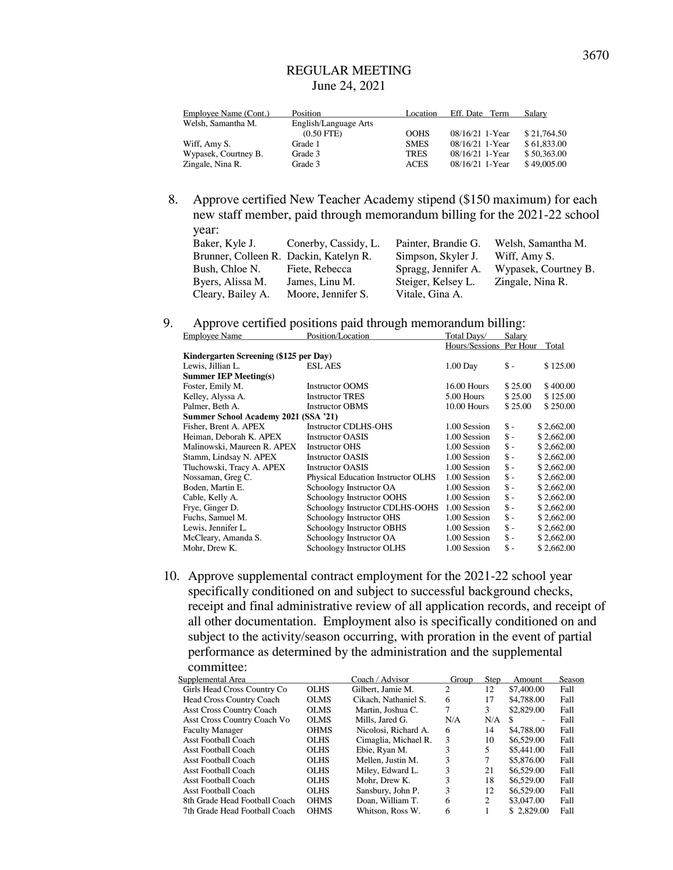| Employee Name (Cont.) | Position              | Location    | Eff. Date Term    | Salary      |
|-----------------------|-----------------------|-------------|-------------------|-------------|
| Welsh, Samantha M.    | English/Language Arts |             |                   |             |
|                       | $(0.50$ FTE)          | <b>OOHS</b> | 08/16/21 1-Year   | \$21,764.50 |
| Wiff, Amy S.          | Grade 1               | <b>SMES</b> | 08/16/21 1-Year   | \$61,833,00 |
| Wypasek, Courtney B.  | Grade 3               | <b>TRES</b> | $08/16/21$ 1-Year | \$50,363,00 |
| Zingale, Nina R.      | Grade 3               | <b>ACES</b> | $08/16/21$ 1-Year | \$49,005.00 |

8. Approve certified New Teacher Academy stipend (\$150 maximum) for each new staff member, paid through memorandum billing for the 2021-22 school year:

| Baker, Kyle J.                         | Conerby, Cassidy, L. | Painter, Brandie G. | Welsh, Samantha M.   |
|----------------------------------------|----------------------|---------------------|----------------------|
| Brunner, Colleen R. Dackin, Katelyn R. |                      | Simpson, Skyler J.  | Wiff, Amy S.         |
| Bush, Chloe N.                         | Fiete, Rebecca       | Spragg, Jennifer A. | Wypasek, Courtney B. |
| Byers, Alissa M.                       | James, Linu M.       | Steiger, Kelsey L.  | Zingale, Nina R.     |
| Cleary, Bailey A.                      | Moore, Jennifer S.   | Vitale, Gina A.     |                      |

# 9. Approve certified positions paid through memorandum billing:

| <b>Employee Name</b>                   | Position/Location                  | Total Days/    | Salary          |            |
|----------------------------------------|------------------------------------|----------------|-----------------|------------|
|                                        |                                    | Hours/Sessions | Per Hour        | Total      |
| Kindergarten Screening (\$125 per Day) |                                    |                |                 |            |
| Lewis, Jillian L.                      | <b>ESL AES</b>                     | $1.00$ Day     | \$ -            | \$125.00   |
| <b>Summer IEP Meeting(s)</b>           |                                    |                |                 |            |
| Foster, Emily M.                       | <b>Instructor OOMS</b>             | $16.00$ Hours  | \$25.00         | \$400.00   |
| Kelley, Alyssa A.                      | <b>Instructor TRES</b>             | 5.00 Hours     | \$25.00         | \$125.00   |
| Palmer, Beth A.                        | <b>Instructor OBMS</b>             | $10.00$ Hours  | \$25.00         | \$250.00   |
| Summer School Academy 2021 (SSA '21)   |                                    |                |                 |            |
| Fisher, Brent A. APEX                  | <b>Instructor CDLHS-OHS</b>        | 1.00 Session   | \$ -            | \$2,662.00 |
| Heiman, Deborah K. APEX                | <b>Instructor OASIS</b>            | 1.00 Session   | $\mathsf{s}$ -  | \$2.662.00 |
| Malinowski, Maureen R. APEX            | <b>Instructor OHS</b>              | 1.00 Session   | $\mathsf{\$}$ - | \$2,662.00 |
| Stamm, Lindsay N. APEX                 | <b>Instructor OASIS</b>            | 1.00 Session   | $\mathsf{\$}$ - | \$2,662.00 |
| Tluchowski, Tracy A. APEX              | <b>Instructor OASIS</b>            | 1.00 Session   | $\mathsf{\$}$ - | \$2,662.00 |
| Nossaman, Greg C.                      | Physical Education Instructor OLHS | 1.00 Session   | $\mathsf{\$}$ - | \$2,662.00 |
| Boden, Martin E.                       | Schoology Instructor OA            | 1.00 Session   | $\mathsf{\$}$ - | \$2,662.00 |
| Cable, Kelly A.                        | Schoology Instructor OOHS          | 1.00 Session   | $\mathsf{\$}$ - | \$2,662.00 |
| Frye, Ginger D.                        | Schoology Instructor CDLHS-OOHS    | 1.00 Session   | $\mathsf{\$}$ - | \$2,662.00 |
| Fuchs, Samuel M.                       | Schoology Instructor OHS           | 1.00 Session   | $\mathsf{\$}$ - | \$2,662.00 |
| Lewis, Jennifer L.                     | Schoology Instructor OBHS          | 1.00 Session   | $\mathsf{\$}$ - | \$2,662.00 |
| McCleary, Amanda S.                    | Schoology Instructor OA            | 1.00 Session   | $\mathsf{\$}$ - | \$2,662.00 |
| Mohr, Drew K.                          | Schoology Instructor OLHS          | 1.00 Session   | $\mathsf{s}$ -  | \$2,662.00 |

10. Approve supplemental contract employment for the 2021-22 school year specifically conditioned on and subject to successful background checks, receipt and final administrative review of all application records, and receipt of all other documentation. Employment also is specifically conditioned on and subject to the activity/season occurring, with proration in the event of partial performance as determined by the administration and the supplemental committee:

| Supplemental Area                  |             | Coach / Advisor      | Group | Step | Amount     | Season |
|------------------------------------|-------------|----------------------|-------|------|------------|--------|
| Girls Head Cross Country Co        | <b>OLHS</b> | Gilbert. Jamie M.    | 2     | 12   | \$7,400.00 | Fall   |
| <b>Head Cross Country Coach</b>    | <b>OLMS</b> | Cikach, Nathaniel S. | 6     | 17   | \$4,788.00 | Fall   |
| <b>Asst Cross Country Coach</b>    | <b>OLMS</b> | Martin, Joshua C.    | 7     | 3    | \$2,829.00 | Fall   |
| <b>Asst Cross Country Coach Vo</b> | <b>OLMS</b> | Mills. Jared G.      | N/A   | N/A  | \$.<br>۰   | Fall   |
| <b>Faculty Manager</b>             | <b>OHMS</b> | Nicolosi, Richard A. | 6     | 14   | \$4,788.00 | Fall   |
| <b>Asst Football Coach</b>         | <b>OLHS</b> | Cimaglia, Michael R. | 3     | 10   | \$6,529.00 | Fall   |
| <b>Asst Football Coach</b>         | <b>OLHS</b> | Ebie, Ryan M.        | 3     | 5    | \$5,441.00 | Fall   |
| Asst Football Coach                | <b>OLHS</b> | Mellen. Justin M.    | 3     |      | \$5,876.00 | Fall   |
| <b>Asst Football Coach</b>         | <b>OLHS</b> | Miley, Edward L.     | 3     | 21   | \$6,529.00 | Fall   |
| <b>Asst Football Coach</b>         | <b>OLHS</b> | Mohr. Drew K.        | 3     | 18   | \$6,529.00 | Fall   |
| <b>Asst Football Coach</b>         | <b>OLHS</b> | Sansbury, John P.    | 3     | 12   | \$6,529.00 | Fall   |
| 8th Grade Head Football Coach      | <b>OHMS</b> | Doan, William T.     | 6     | 2    | \$3,047.00 | Fall   |
| 7th Grade Head Football Coach      | <b>OHMS</b> | Whitson, Ross W.     | 6     |      | \$2.829.00 | Fall   |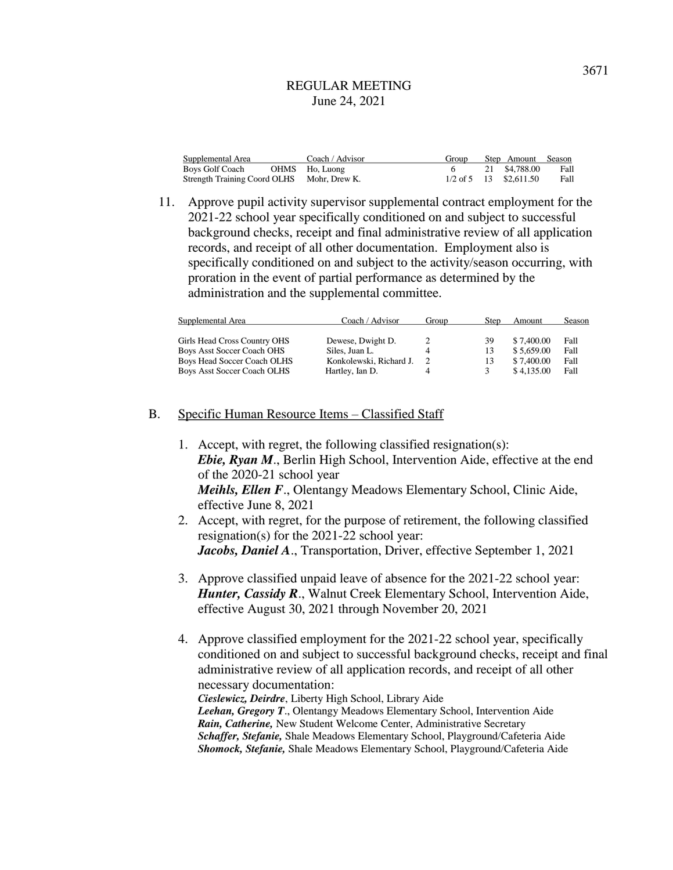| Supplemental Area                          | Coach / Advisor | Group | Step Amount Season       |      |
|--------------------------------------------|-----------------|-------|--------------------------|------|
| Boys Golf Coach                            | OHMS Ho, Luong  |       | 21 \$4,788.00            | Fall |
| Strength Training Coord OLHS Mohr, Drew K. |                 |       | $1/2$ of 5 13 \$2.611.50 | Fall |

11. Approve pupil activity supervisor supplemental contract employment for the 2021-22 school year specifically conditioned on and subject to successful background checks, receipt and final administrative review of all application records, and receipt of all other documentation. Employment also is specifically conditioned on and subject to the activity/season occurring, with proration in the event of partial performance as determined by the administration and the supplemental committee.

| Supplemental Area                  | Coach / Advisor         | Group | Step | Amount     | Season |  |
|------------------------------------|-------------------------|-------|------|------------|--------|--|
| Girls Head Cross Country OHS       | Dewese, Dwight D.       |       | 39   | \$7,400.00 | Fall   |  |
| Boys Asst Soccer Coach OHS         | Siles. Juan L.          |       | 13   | \$5,659.00 | Fall   |  |
| Boys Head Soccer Coach OLHS        | Konkolewski, Richard J. | 2     | 13   | \$7,400.00 | Fall   |  |
| <b>Boys Asst Soccer Coach OLHS</b> | Hartley, Ian D.         |       | 3    | \$4.135.00 | Fall   |  |

### B. Specific Human Resource Items – Classified Staff

- 1. Accept, with regret, the following classified resignation(s): *Ebie, Ryan M.*, Berlin High School, Intervention Aide, effective at the end of the 2020-21 school year *Meihls, Ellen F*., Olentangy Meadows Elementary School, Clinic Aide, effective June 8, 2021
- 2. Accept, with regret, for the purpose of retirement, the following classified resignation(s) for the 2021-22 school year: *Jacobs, Daniel A*., Transportation, Driver, effective September 1, 2021
- 3. Approve classified unpaid leave of absence for the 2021-22 school year: *Hunter, Cassidy R*., Walnut Creek Elementary School, Intervention Aide, effective August 30, 2021 through November 20, 2021
- 4. Approve classified employment for the 2021-22 school year, specifically conditioned on and subject to successful background checks, receipt and final administrative review of all application records, and receipt of all other necessary documentation: *Cieslewicz, Deirdre*, Liberty High School, Library Aide

*Leehan, Gregory T*., Olentangy Meadows Elementary School, Intervention Aide *Rain, Catherine,* New Student Welcome Center, Administrative Secretary *Schaffer, Stefanie,* Shale Meadows Elementary School, Playground/Cafeteria Aide *Shomock, Stefanie,* Shale Meadows Elementary School, Playground/Cafeteria Aide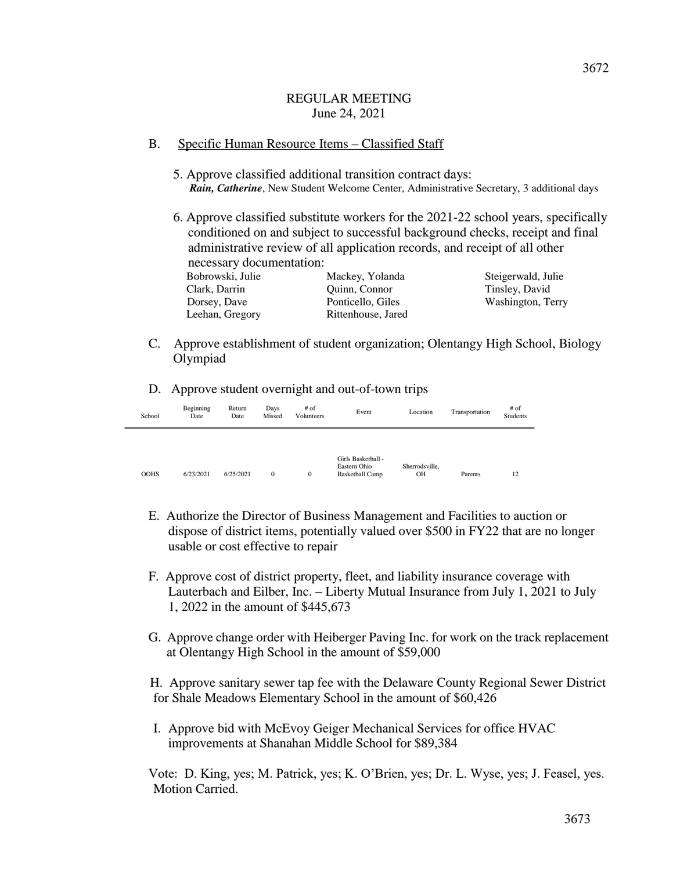### B. Specific Human Resource Items – Classified Staff

- 5. Approve classified additional transition contract days: *Rain, Catherine*, New Student Welcome Center, Administrative Secretary, 3 additional days
- 6. Approve classified substitute workers for the 2021-22 school years, specifically conditioned on and subject to successful background checks, receipt and final administrative review of all application records, and receipt of all other necessary documentation:

| Bobrowski, Julie | Mackey, Yolanda    | Steigerwald, Julie |
|------------------|--------------------|--------------------|
| Clark, Darrin    | Quinn, Connor      | Tinsley, David     |
| Dorsey, Dave     | Ponticello, Giles  | Washington, Terry  |
| Leehan, Gregory  | Rittenhouse, Jared |                    |

- C. Approve establishment of student organization; Olentangy High School, Biology Olympiad
- D. Approve student overnight and out-of-town trips

| School      | Beginning<br>Date | Return<br>Date | Days<br>Missed | $#$ of<br>Volunteers | Event                                                        | Location             | Transportation | $#$ of<br><b>Students</b> |
|-------------|-------------------|----------------|----------------|----------------------|--------------------------------------------------------------|----------------------|----------------|---------------------------|
| <b>OOHS</b> | 6/23/2021         | 6/25/2021      | $\mathbf{0}$   | $\mathbf{0}$         | Girls Basketball -<br>Eastern Ohio<br><b>Basketball Camp</b> | Sherrodsville.<br>OН | Parents        | 12                        |

- E. Authorize the Director of Business Management and Facilities to auction or dispose of district items, potentially valued over \$500 in FY22 that are no longer usable or cost effective to repair
- F. Approve cost of district property, fleet, and liability insurance coverage with Lauterbach and Eilber, Inc. – Liberty Mutual Insurance from July 1, 2021 to July 1, 2022 in the amount of \$445,673
- G. Approve change order with Heiberger Paving Inc. for work on the track replacement at Olentangy High School in the amount of \$59,000

 H. Approve sanitary sewer tap fee with the Delaware County Regional Sewer District for Shale Meadows Elementary School in the amount of \$60,426

I. Approve bid with McEvoy Geiger Mechanical Services for office HVAC improvements at Shanahan Middle School for \$89,384

 Vote: D. King, yes; M. Patrick, yes; K. O'Brien, yes; Dr. L. Wyse, yes; J. Feasel, yes. Motion Carried.